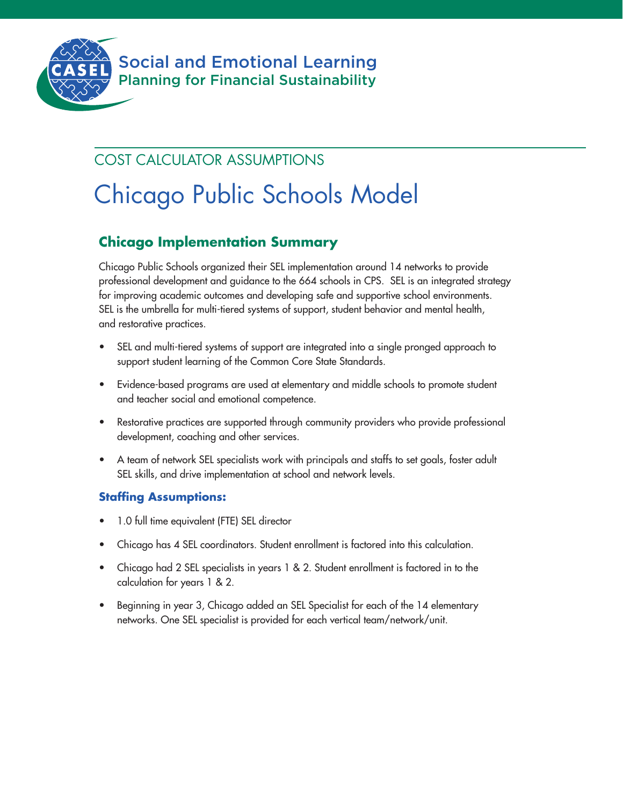

## COST CALCULATOR ASSUMPTIONS

# Chicago Public Schools Model

## **Chicago Implementation Summary**

Chicago Public Schools organized their SEL implementation around 14 networks to provide professional development and guidance to the 664 schools in CPS. SEL is an integrated strategy for improving academic outcomes and developing safe and supportive school environments. SEL is the umbrella for multi-tiered systems of support, student behavior and mental health, and restorative practices.

- SEL and multi-tiered systems of support are integrated into a single pronged approach to support student learning of the Common Core State Standards.
- Evidence-based programs are used at elementary and middle schools to promote student and teacher social and emotional competence.
- Restorative practices are supported through community providers who provide professional development, coaching and other services.
- A team of network SEL specialists work with principals and staffs to set goals, foster adult SEL skills, and drive implementation at school and network levels.

## **Staffing Assumptions:**

- 1.0 full time equivalent (FTE) SEL director
- Chicago has 4 SEL coordinators. Student enrollment is factored into this calculation.
- Chicago had 2 SEL specialists in years 1 & 2. Student enrollment is factored in to the calculation for years 1 & 2.
- Beginning in year 3, Chicago added an SEL Specialist for each of the 14 elementary networks. One SEL specialist is provided for each vertical team/network/unit.